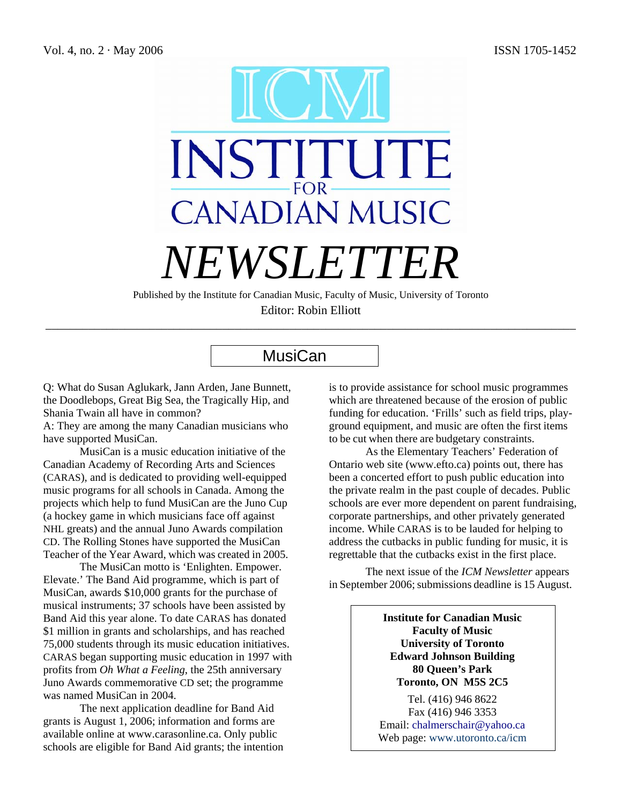

Published by the Institute for Canadian Music, Faculty of Music, University of Toronto Editor: Robin Elliott

\_\_\_\_\_\_\_\_\_\_\_\_\_\_\_\_\_\_\_\_\_\_\_\_\_\_\_\_\_\_\_\_\_\_\_\_\_\_\_\_\_\_\_\_\_\_\_\_\_\_\_\_\_\_\_\_\_\_\_\_\_\_\_\_\_\_\_\_\_\_\_\_\_\_\_\_\_\_\_\_\_\_\_\_\_\_\_

# **MusiCan**

Q: What do Susan Aglukark, Jann Arden, Jane Bunnett, the Doodlebops, Great Big Sea, the Tragically Hip, and Shania Twain all have in common?

A: They are among the many Canadian musicians who have supported MusiCan.

 MusiCan is a music education initiative of the Canadian Academy of Recording Arts and Sciences (CARAS), and is dedicated to providing well-equipped music programs for all schools in Canada. Among the projects which help to fund MusiCan are the Juno Cup (a hockey game in which musicians face off against NHL greats) and the annual Juno Awards compilation CD. The Rolling Stones have supported the MusiCan Teacher of the Year Award, which was created in 2005.

 The MusiCan motto is 'Enlighten. Empower. Elevate.' The Band Aid programme, which is part of MusiCan, awards \$10,000 grants for the purchase of musical instruments; 37 schools have been assisted by Band Aid this year alone. To date CARAS has donated \$1 million in grants and scholarships, and has reached 75,000 students through its music education initiatives. CARAS began supporting music education in 1997 with profits from *Oh What a Feeling*, the 25th anniversary Juno Awards commemorative CD set; the programme was named MusiCan in 2004.

The next application deadline for Band Aid grants is August 1, 2006; information and forms are available online at www.carasonline.ca. Only public schools are eligible for Band Aid grants; the intention is to provide assistance for school music programmes which are threatened because of the erosion of public funding for education. 'Frills' such as field trips, playground equipment, and music are often the first items to be cut when there are budgetary constraints.

As the Elementary Teachers' Federation of Ontario web site (www.efto.ca) points out, there has been a concerted effort to push public education into the private realm in the past couple of decades. Public schools are ever more dependent on parent fundraising, corporate partnerships, and other privately generated income. While CARAS is to be lauded for helping to address the cutbacks in public funding for music, it is regrettable that the cutbacks exist in the first place.

The next issue of the *ICM Newsletter* appears in September 2006; submissions deadline is 15 August.

> **Institute for Canadian Music Faculty of Music University of Toronto Edward Johnson Building 80 Queen's Park Toronto, ON M5S 2C5**

Tel. (416) 946 8622 Fax (416) 946 3353 Email: [chalmerschair@yahoo.ca](mailto:ChalmersChair@yahoo.ca) Web page: www.utoronto.ca/icm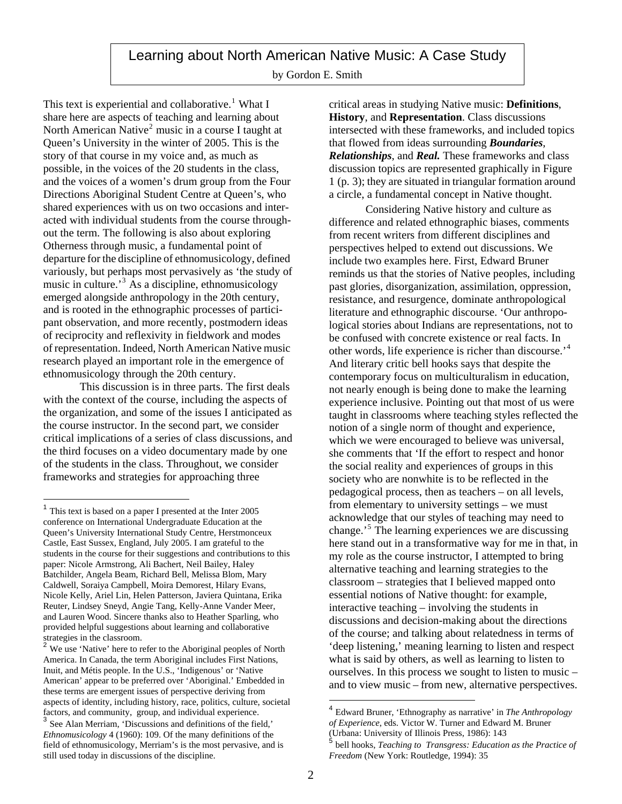# Learning about North American Native Music: A Case Study

by Gordon E. Smith

This text is experiential and collaborative.<sup>[1](#page-1-0)</sup> What I share here are aspects of teaching and learning about North American Native<sup>[2](#page-1-1)</sup> music in a course I taught at Queen's University in the winter of 2005. This is the story of that course in my voice and, as much as possible, in the voices of the 20 students in the class, and the voices of a women's drum group from the Four Directions Aboriginal Student Centre at Queen's, who shared experiences with us on two occasions and interacted with individual students from the course throughout the term. The following is also about exploring Otherness through music, a fundamental point of departure for the discipline of ethnomusicology, defined variously, but perhaps most pervasively as 'the study of music in culture.'[3](#page-1-2) As a discipline, ethnomusicology emerged alongside anthropology in the 20th century, and is rooted in the ethnographic processes of participant observation, and more recently, postmodern ideas of reciprocity and reflexivity in fieldwork and modes of representation. Indeed, North American Native music research played an important role in the emergence of ethnomusicology through the 20th century.

This discussion is in three parts. The first deals with the context of the course, including the aspects of the organization, and some of the issues I anticipated as the course instructor. In the second part, we consider critical implications of a series of class discussions, and the third focuses on a video documentary made by one of the students in the class. Throughout, we consider frameworks and strategies for approaching three

 $\overline{a}$ 

critical areas in studying Native music: **Definitions**, **History**, and **Representation**. Class discussions intersected with these frameworks, and included topics that flowed from ideas surrounding *Boundaries*, *Relationships*, and *Real.* These frameworks and class discussion topics are represented graphically in Figure 1 (p. 3); they are situated in triangular formation around a circle, a fundamental concept in Native thought.

Considering Native history and culture as difference and related ethnographic biases, comments from recent writers from different disciplines and perspectives helped to extend out discussions. We include two examples here. First, Edward Bruner reminds us that the stories of Native peoples, including past glories, disorganization, assimilation, oppression, resistance, and resurgence, dominate anthropological literature and ethnographic discourse. 'Our anthropological stories about Indians are representations, not to be confused with concrete existence or real facts. In other words, life experience is richer than discourse.'[4](#page-1-3) And literary critic bell hooks says that despite the contemporary focus on multiculturalism in education, not nearly enough is being done to make the learning experience inclusive. Pointing out that most of us were taught in classrooms where teaching styles reflected the notion of a single norm of thought and experience, which we were encouraged to believe was universal, she comments that 'If the effort to respect and honor the social reality and experiences of groups in this society who are nonwhite is to be reflected in the pedagogical process, then as teachers – on all levels, from elementary to university settings – we must acknowledge that our styles of teaching may need to change.'[5](#page-1-4) The learning experiences we are discussing here stand out in a transformative way for me in that, in my role as the course instructor, I attempted to bring alternative teaching and learning strategies to the classroom – strategies that I believed mapped onto essential notions of Native thought: for example, interactive teaching – involving the students in discussions and decision-making about the directions of the course; and talking about relatedness in terms of 'deep listening,' meaning learning to listen and respect what is said by others, as well as learning to listen to ourselves. In this process we sought to listen to music – and to view music – from new, alternative perspectives.

 $\overline{a}$ 

<span id="page-1-0"></span> $<sup>1</sup>$  This text is based on a paper I presented at the Inter 2005</sup> conference on International Undergraduate Education at the Queen's University International Study Centre, Herstmonceux Castle, East Sussex, England, July 2005. I am grateful to the students in the course for their suggestions and contributions to this paper: Nicole Armstrong, Ali Bachert, Neil Bailey, Haley Batchilder, Angela Beam, Richard Bell, Melissa Blom, Mary Caldwell, Soraiya Campbell, Moira Demorest, Hilary Evans, Nicole Kelly, Ariel Lin, Helen Patterson, Javiera Quintana, Erika Reuter, Lindsey Sneyd, Angie Tang, Kelly-Anne Vander Meer, and Lauren Wood. Sincere thanks also to Heather Sparling, who provided helpful suggestions about learning and collaborative strategies in the classroom.<br><sup>2</sup> We use 'Native' here to refer to the Aboriginal peoples of North

<span id="page-1-1"></span>America. In Canada, the term Aboriginal includes First Nations, Inuit, and Métis people. In the U.S., 'Indigenous' or 'Native American' appear to be preferred over 'Aboriginal.' Embedded in these terms are emergent issues of perspective deriving from aspects of identity, including history, race, politics, culture, societal factors, and community, group, and individual experience. <sup>3</sup> See Alan Merriam, 'Discussions and definitions of the field,'

<span id="page-1-4"></span><span id="page-1-3"></span><span id="page-1-2"></span>*Ethnomusicology* 4 (1960): 109. Of the many definitions of the field of ethnomusicology, Merriam's is the most pervasive, and is still used today in discussions of the discipline.

<sup>4</sup> Edward Bruner, 'Ethnography as narrative' in *The Anthropology of Experience*, eds. Victor W. Turner and Edward M. Bruner (Urbana: University of Illinois Press, 1986): 143

<sup>5</sup> bell hooks, *Teaching to Transgress: Education as the Practice of Freedom* (New York: Routledge, 1994): 35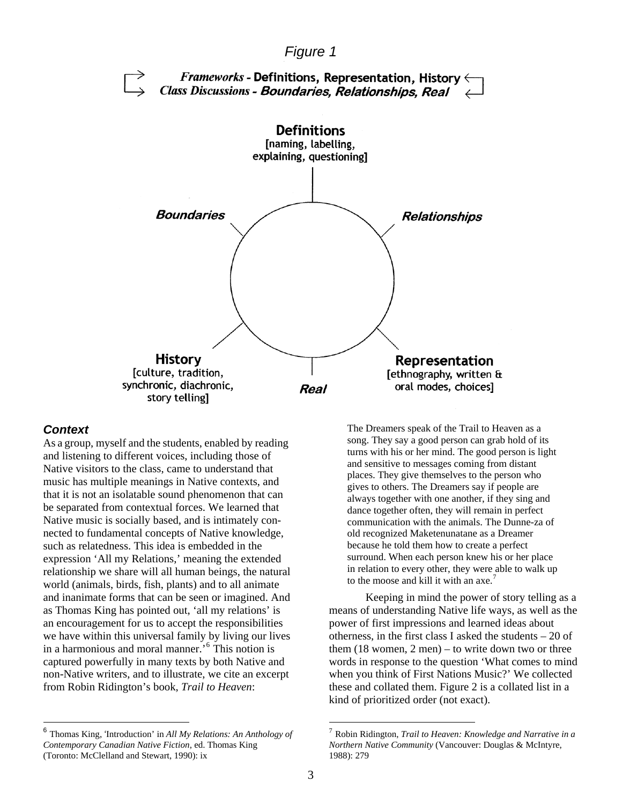

#### *Context*

As a group, myself and the students, enabled by reading and listening to different voices, including those of Native visitors to the class, came to understand that music has multiple meanings in Native contexts, and that it is not an isolatable sound phenomenon that can be separated from contextual forces. We learned that Native music is socially based, and is intimately connected to fundamental concepts of Native knowledge, such as relatedness. This idea is embedded in the expression 'All my Relations,' meaning the extended relationship we share will all human beings, the natural world (animals, birds, fish, plants) and to all animate and inanimate forms that can be seen or imagined. And as Thomas King has pointed out, 'all my relations' is an encouragement for us to accept the responsibilities we have within this universal family by living our lives in a harmonious and moral manner.'[6](#page-2-0) This notion is captured powerfully in many texts by both Native and non-Native writers, and to illustrate, we cite an excerpt from Robin Ridington's book, *Trail to Heaven*:

<span id="page-2-0"></span> <sup>6</sup> Thomas King, 'Introduction' in *All My Relations: An Anthology of Contemporary Canadian Native Fiction*, ed. Thomas King (Toronto: McClelland and Stewart, 1990): ix

The Dreamers speak of the Trail to Heaven as a song. They say a good person can grab hold of its turns with his or her mind. The good person is light and sensitive to messages coming from distant places. They give themselves to the person who gives to others. The Dreamers say if people are always together with one another, if they sing and dance together often, they will remain in perfect communication with the animals. The Dunne-za of old recognized Maketenunatane as a Dreamer because he told them how to create a perfect surround. When each person knew his or her place in relation to every other, they were able to walk up to the moose and kill it with an axe.<sup>[7](#page-2-0)</sup>

Keeping in mind the power of story telling as a means of understanding Native life ways, as well as the power of first impressions and learned ideas about otherness, in the first class I asked the students – 20 of them (18 women, 2 men) – to write down two or three words in response to the question 'What comes to mind when you think of First Nations Music?' We collected these and collated them. Figure 2 is a collated list in a kind of prioritized order (not exact).

<sup>7</sup> Robin Ridington, *Trail to Heaven: Knowledge and Narrative in a Northern Native Community* (Vancouver: Douglas & McIntyre, 1988): 279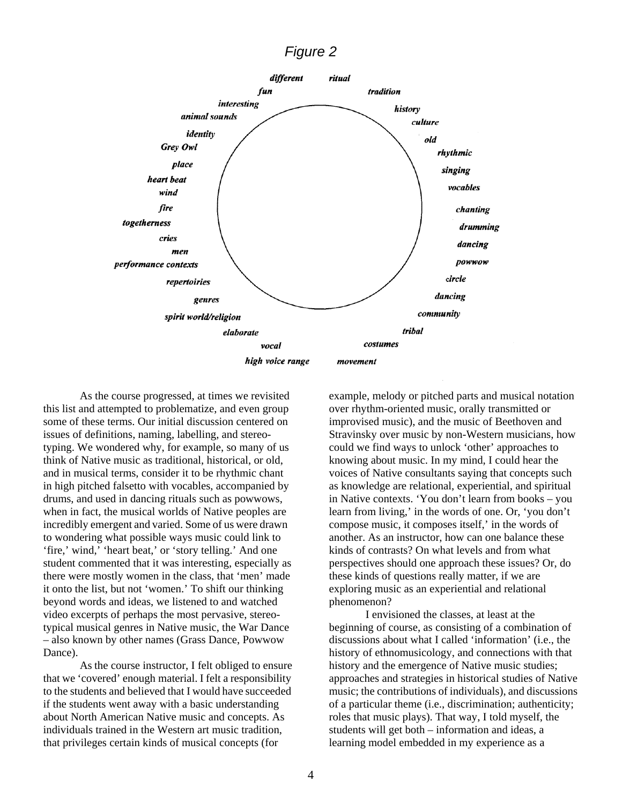# *Figure 2*



As the course progressed, at times we revisited this list and attempted to problematize, and even group some of these terms. Our initial discussion centered on issues of definitions, naming, labelling, and stereotyping. We wondered why, for example, so many of us think of Native music as traditional, historical, or old, and in musical terms, consider it to be rhythmic chant in high pitched falsetto with vocables, accompanied by drums, and used in dancing rituals such as powwows, when in fact, the musical worlds of Native peoples are incredibly emergent and varied. Some of us were drawn to wondering what possible ways music could link to 'fire,' wind,' 'heart beat,' or 'story telling.' And one student commented that it was interesting, especially as there were mostly women in the class, that 'men' made it onto the list, but not 'women.' To shift our thinking beyond words and ideas, we listened to and watched video excerpts of perhaps the most pervasive, stereotypical musical genres in Native music, the War Dance – also known by other names (Grass Dance, Powwow Dance).

As the course instructor, I felt obliged to ensure that we 'covered' enough material. I felt a responsibility to the students and believed that I would have succeeded if the students went away with a basic understanding about North American Native music and concepts. As individuals trained in the Western art music tradition, that privileges certain kinds of musical concepts (for

example, melody or pitched parts and musical notation over rhythm-oriented music, orally transmitted or improvised music), and the music of Beethoven and Stravinsky over music by non-Western musicians, how could we find ways to unlock 'other' approaches to knowing about music. In my mind, I could hear the voices of Native consultants saying that concepts such as knowledge are relational, experiential, and spiritual in Native contexts. 'You don't learn from books – you learn from living,' in the words of one. Or, 'you don't compose music, it composes itself,' in the words of another. As an instructor, how can one balance these kinds of contrasts? On what levels and from what perspectives should one approach these issues? Or, do these kinds of questions really matter, if we are exploring music as an experiential and relational phenomenon?

I envisioned the classes, at least at the beginning of course, as consisting of a combination of discussions about what I called 'information' (i.e., the history of ethnomusicology, and connections with that history and the emergence of Native music studies; approaches and strategies in historical studies of Native music; the contributions of individuals), and discussions of a particular theme (i.e., discrimination; authenticity; roles that music plays). That way, I told myself, the students will get both – information and ideas, a learning model embedded in my experience as a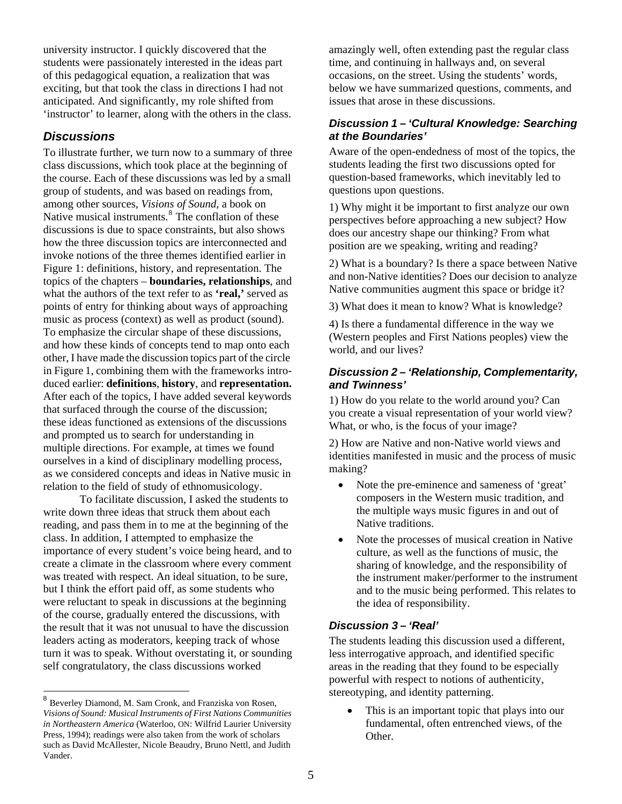university instructor. I quickly discovered that the students were passionately interested in the ideas part of this pedagogical equation, a realization that was exciting, but that took the class in directions I had not anticipated. And significantly, my role shifted from 'instructor' to learner, along with the others in the class.

### *Discussions*

To illustrate further, we turn now to a summary of three class discussions, which took place at the beginning of the course. Each of these discussions was led by a small group of students, and was based on readings from, among other sources, *Visions of Sound*, a book on Native musical instruments.<sup>[8](#page-4-0)</sup> The conflation of these discussions is due to space constraints, but also shows how the three discussion topics are interconnected and invoke notions of the three themes identified earlier in Figure 1: definitions, history, and representation. The topics of the chapters – **boundaries, relationships**, and what the authors of the text refer to as **'real,'** served as points of entry for thinking about ways of approaching music as process (context) as well as product (sound). To emphasize the circular shape of these discussions, and how these kinds of concepts tend to map onto each other, I have made the discussion topics part of the circle in Figure 1, combining them with the frameworks introduced earlier: **definitions**, **history**, and **representation.** After each of the topics, I have added several keywords that surfaced through the course of the discussion; these ideas functioned as extensions of the discussions and prompted us to search for understanding in multiple directions. For example, at times we found ourselves in a kind of disciplinary modelling process, as we considered concepts and ideas in Native music in relation to the field of study of ethnomusicology.

To facilitate discussion, I asked the students to write down three ideas that struck them about each reading, and pass them in to me at the beginning of the class. In addition, I attempted to emphasize the importance of every student's voice being heard, and to create a climate in the classroom where every comment was treated with respect. An ideal situation, to be sure, but I think the effort paid off, as some students who were reluctant to speak in discussions at the beginning of the course, gradually entered the discussions, with the result that it was not unusual to have the discussion leaders acting as moderators, keeping track of whose turn it was to speak. Without overstating it, or sounding self congratulatory, the class discussions worked

 $\overline{a}$ 

amazingly well, often extending past the regular class time, and continuing in hallways and, on several occasions, on the street. Using the students' words, below we have summarized questions, comments, and issues that arose in these discussions.

### *Discussion 1 – 'Cultural Knowledge: Searching at the Boundaries'*

Aware of the open-endedness of most of the topics, the students leading the first two discussions opted for question-based frameworks, which inevitably led to questions upon questions.

1) Why might it be important to first analyze our own perspectives before approaching a new subject? How does our ancestry shape our thinking? From what position are we speaking, writing and reading?

2) What is a boundary? Is there a space between Native and non-Native identities? Does our decision to analyze Native communities augment this space or bridge it?

3) What does it mean to know? What is knowledge?

4) Is there a fundamental difference in the way we (Western peoples and First Nations peoples) view the world, and our lives?

### *Discussion 2 – 'Relationship, Complementarity, and Twinness'*

1) How do you relate to the world around you? Can you create a visual representation of your world view? What, or who, is the focus of your image?

2) How are Native and non-Native world views and identities manifested in music and the process of music making?

- Note the pre-eminence and sameness of 'great' composers in the Western music tradition, and the multiple ways music figures in and out of Native traditions.
- Note the processes of musical creation in Native culture, as well as the functions of music, the sharing of knowledge, and the responsibility of the instrument maker/performer to the instrument and to the music being performed. This relates to the idea of responsibility.

### *Discussion 3 – 'Real'*

The students leading this discussion used a different, less interrogative approach, and identified specific areas in the reading that they found to be especially powerful with respect to notions of authenticity, stereotyping, and identity patterning.

This is an important topic that plays into our fundamental, often entrenched views, of the Other.

<span id="page-4-0"></span><sup>8</sup> Beverley Diamond, M. Sam Cronk, and Franziska von Rosen, *Visions of Sound: Musical Instruments of First Nations Communities in Northeastern America* (Waterloo, ON: Wilfrid Laurier University Press, 1994); readings were also taken from the work of scholars such as David McAllester, Nicole Beaudry, Bruno Nettl, and Judith Vander.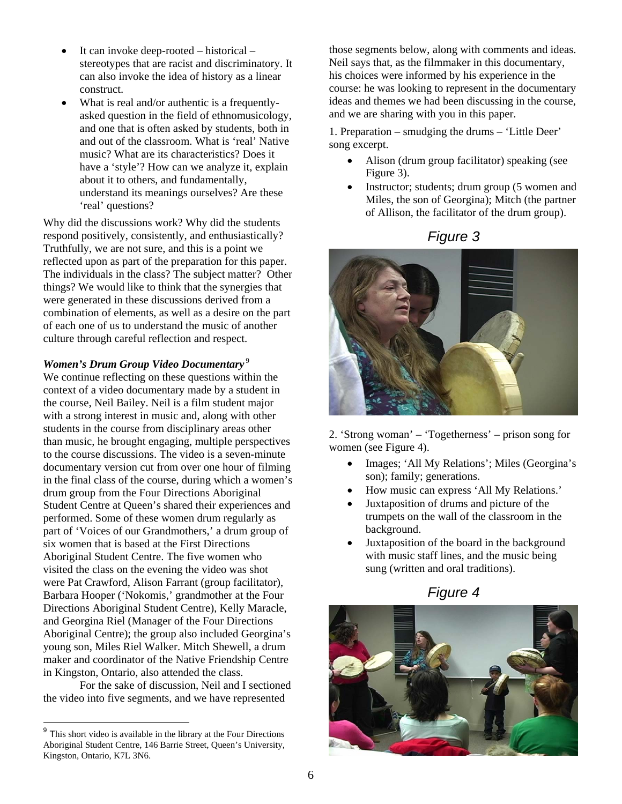- It can invoke deep-rooted historical stereotypes that are racist and discriminatory. It can also invoke the idea of history as a linear construct.
- What is real and/or authentic is a frequentlyasked question in the field of ethnomusicology, and one that is often asked by students, both in and out of the classroom. What is 'real' Native music? What are its characteristics? Does it have a 'style'? How can we analyze it, explain about it to others, and fundamentally, understand its meanings ourselves? Are these 'real' questions?

Why did the discussions work? Why did the students respond positively, consistently, and enthusiastically? Truthfully, we are not sure, and this is a point we reflected upon as part of the preparation for this paper. The individuals in the class? The subject matter? Other things? We would like to think that the synergies that were generated in these discussions derived from a combination of elements, as well as a desire on the part of each one of us to understand the music of another culture through careful reflection and respect.

#### *Women's Drum Group Video Documentary* [9](#page-5-0)

We continue reflecting on these questions within the context of a video documentary made by a student in the course, Neil Bailey. Neil is a film student major with a strong interest in music and, along with other students in the course from disciplinary areas other than music, he brought engaging, multiple perspectives to the course discussions. The video is a seven-minute documentary version cut from over one hour of filming in the final class of the course, during which a women's drum group from the Four Directions Aboriginal Student Centre at Queen's shared their experiences and performed. Some of these women drum regularly as part of 'Voices of our Grandmothers,' a drum group of six women that is based at the First Directions Aboriginal Student Centre. The five women who visited the class on the evening the video was shot were Pat Crawford, Alison Farrant (group facilitator), Barbara Hooper ('Nokomis,' grandmother at the Four Directions Aboriginal Student Centre), Kelly Maracle, and Georgina Riel (Manager of the Four Directions Aboriginal Centre); the group also included Georgina's young son, Miles Riel Walker. Mitch Shewell, a drum maker and coordinator of the Native Friendship Centre in Kingston, Ontario, also attended the class.

For the sake of discussion, Neil and I sectioned the video into five segments, and we have represented

 $\overline{a}$ 

those segments below, along with comments and ideas. Neil says that, as the filmmaker in this documentary, his choices were informed by his experience in the course: he was looking to represent in the documentary ideas and themes we had been discussing in the course, and we are sharing with you in this paper.

1. Preparation – smudging the drums – 'Little Deer' song excerpt.

- Alison (drum group facilitator) speaking (see Figure 3).
- Instructor; students; drum group (5 women and Miles, the son of Georgina); Mitch (the partner of Allison, the facilitator of the drum group).





2. 'Strong woman' – 'Togetherness' – prison song for women (see Figure 4).

- Images; 'All My Relations'; Miles (Georgina's son); family; generations.
- How music can express 'All My Relations.'
- Juxtaposition of drums and picture of the trumpets on the wall of the classroom in the background.
- Juxtaposition of the board in the background with music staff lines, and the music being sung (written and oral traditions).

*Figure 4*



<span id="page-5-0"></span><sup>&</sup>lt;sup>9</sup> This short video is available in the library at the Four Directions Aboriginal Student Centre, 146 Barrie Street, Queen's University, Kingston, Ontario, K7L 3N6.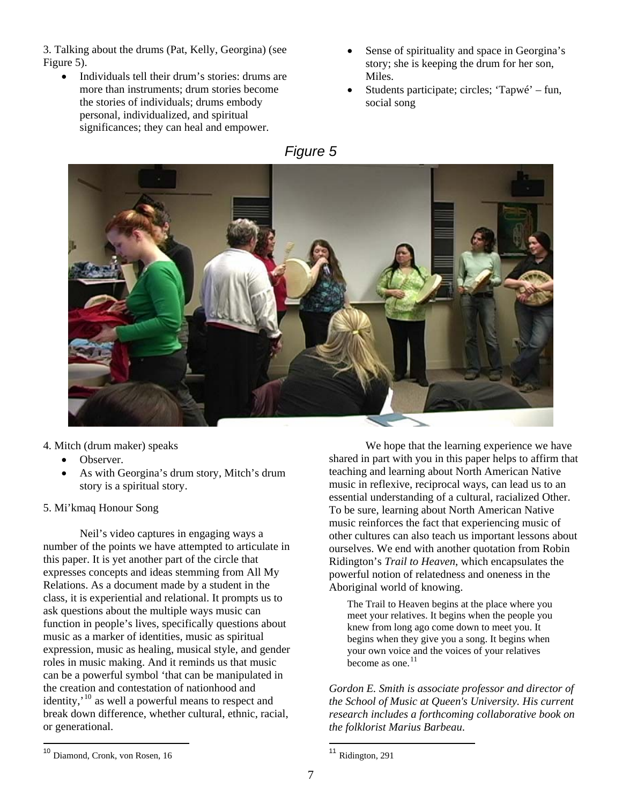3. Talking about the drums (Pat, Kelly, Georgina) (see Figure 5).

- Individuals tell their drum's stories: drums are more than instruments; drum stories become the stories of individuals; drums embody personal, individualized, and spiritual significances; they can heal and empower.
- Sense of spirituality and space in Georgina's story; she is keeping the drum for her son, Miles.
- Students participate; circles; 'Tapwé' fun, social song



4. Mitch (drum maker) speaks

- Observer.
- As with Georgina's drum story, Mitch's drum story is a spiritual story.

#### 5. Mi'kmaq Honour Song

Neil's video captures in engaging ways a number of the points we have attempted to articulate in this paper. It is yet another part of the circle that expresses concepts and ideas stemming from All My Relations. As a document made by a student in the class, it is experiential and relational. It prompts us to ask questions about the multiple ways music can function in people's lives, specifically questions about music as a marker of identities, music as spiritual expression, music as healing, musical style, and gender roles in music making. And it reminds us that music can be a powerful symbol 'that can be manipulated in the creation and contestation of nationhood and identity, $\cdot^{10}$  $\cdot^{10}$  $\cdot^{10}$  as well a powerful means to respect and break down difference, whether cultural, ethnic, racial, or generational.

We hope that the learning experience we have shared in part with you in this paper helps to affirm that teaching and learning about North American Native music in reflexive, reciprocal ways, can lead us to an essential understanding of a cultural, racialized Other. To be sure, learning about North American Native music reinforces the fact that experiencing music of other cultures can also teach us important lessons about ourselves. We end with another quotation from Robin Ridington's *Trail to Heaven*, which encapsulates the powerful notion of relatedness and oneness in the Aboriginal world of knowing.

The Trail to Heaven begins at the place where you meet your relatives. It begins when the people you knew from long ago come down to meet you. It begins when they give you a song. It begins when your own voice and the voices of your relatives become as one.<sup>[11](#page-6-0)</sup>

*Gordon E. Smith is associate professor and director of the School of Music at Queen's University. His current research includes a forthcoming collaborative book on the folklorist Marius Barbeau*.

<span id="page-6-0"></span><sup>10</sup> Diamond, Cronk, von Rosen, 16

<sup>&</sup>lt;sup>11</sup> Ridington, 291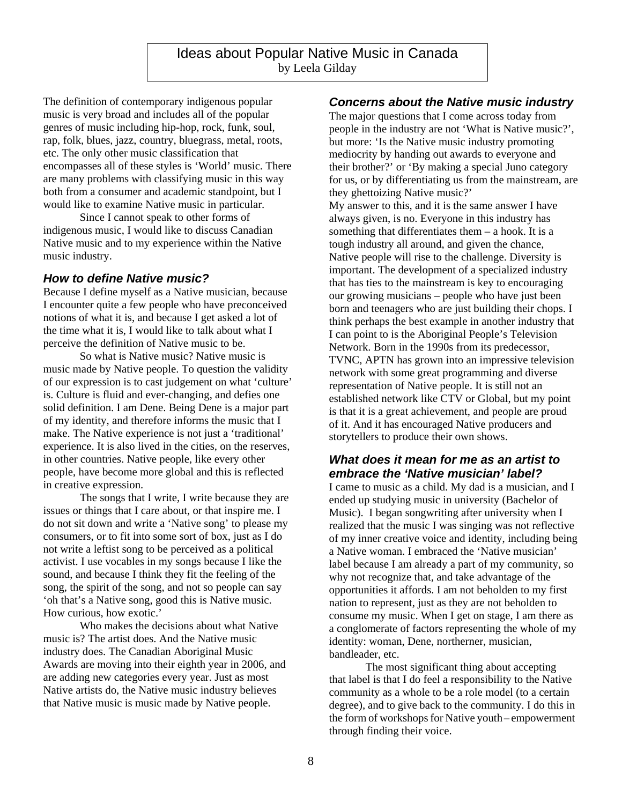The definition of contemporary indigenous popular music is very broad and includes all of the popular genres of music including hip-hop, rock, funk, soul, rap, folk, blues, jazz, country, bluegrass, metal, roots, etc. The only other music classification that encompasses all of these styles is 'World' music. There are many problems with classifying music in this way both from a consumer and academic standpoint, but I would like to examine Native music in particular.

Since I cannot speak to other forms of indigenous music, I would like to discuss Canadian Native music and to my experience within the Native music industry.

### *How to define Native music?*

Because I define myself as a Native musician, because I encounter quite a few people who have preconceived notions of what it is, and because I get asked a lot of the time what it is, I would like to talk about what I perceive the definition of Native music to be.

So what is Native music? Native music is music made by Native people. To question the validity of our expression is to cast judgement on what 'culture' is. Culture is fluid and ever-changing, and defies one solid definition. I am Dene. Being Dene is a major part of my identity, and therefore informs the music that I make. The Native experience is not just a 'traditional' experience. It is also lived in the cities, on the reserves, in other countries. Native people, like every other people, have become more global and this is reflected in creative expression.

The songs that I write, I write because they are issues or things that I care about, or that inspire me. I do not sit down and write a 'Native song' to please my consumers, or to fit into some sort of box, just as I do not write a leftist song to be perceived as a political activist. I use vocables in my songs because I like the sound, and because I think they fit the feeling of the song, the spirit of the song, and not so people can say 'oh that's a Native song, good this is Native music. How curious, how exotic.'

Who makes the decisions about what Native music is? The artist does. And the Native music industry does. The Canadian Aboriginal Music Awards are moving into their eighth year in 2006, and are adding new categories every year. Just as most Native artists do, the Native music industry believes that Native music is music made by Native people.

# *Concerns about the Native music industry*

The major questions that I come across today from people in the industry are not 'What is Native music?', but more: 'Is the Native music industry promoting mediocrity by handing out awards to everyone and their brother?' or 'By making a special Juno category for us, or by differentiating us from the mainstream, are they ghettoizing Native music?'

My answer to this, and it is the same answer I have always given, is no. Everyone in this industry has something that differentiates them – a hook. It is a tough industry all around, and given the chance, Native people will rise to the challenge. Diversity is important. The development of a specialized industry that has ties to the mainstream is key to encouraging our growing musicians – people who have just been born and teenagers who are just building their chops. I think perhaps the best example in another industry that I can point to is the Aboriginal People's Television Network. Born in the 1990s from its predecessor, TVNC, APTN has grown into an impressive television network with some great programming and diverse representation of Native people. It is still not an established network like CTV or Global, but my point is that it is a great achievement, and people are proud of it. And it has encouraged Native producers and storytellers to produce their own shows.

### *What does it mean for me as an artist to embrace the 'Native musician' label?*

I came to music as a child. My dad is a musician, and I ended up studying music in university (Bachelor of Music). I began songwriting after university when I realized that the music I was singing was not reflective of my inner creative voice and identity, including being a Native woman. I embraced the 'Native musician' label because I am already a part of my community, so why not recognize that, and take advantage of the opportunities it affords. I am not beholden to my first nation to represent, just as they are not beholden to consume my music. When I get on stage, I am there as a conglomerate of factors representing the whole of my identity: woman, Dene, northerner, musician, bandleader, etc.

The most significant thing about accepting that label is that I do feel a responsibility to the Native community as a whole to be a role model (to a certain degree), and to give back to the community. I do this in the form of workshops for Native youth – empowerment through finding their voice.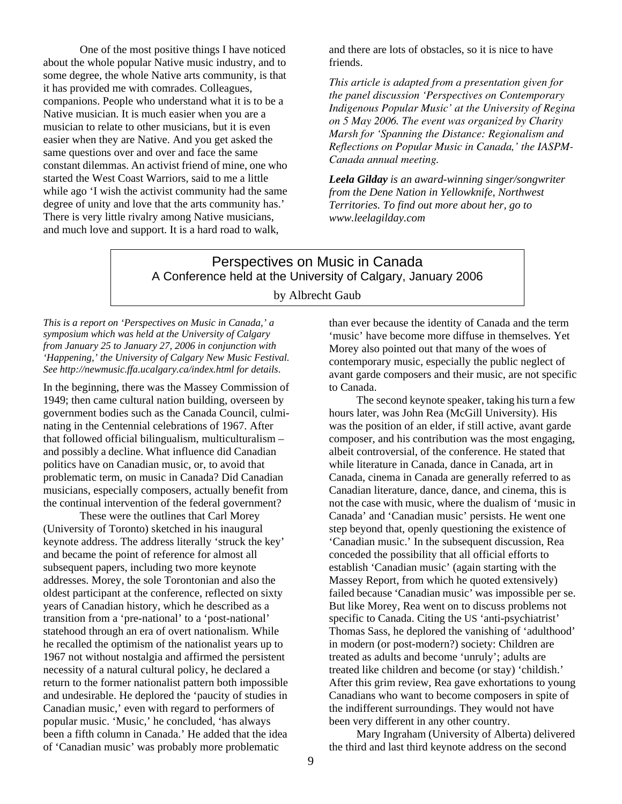One of the most positive things I have noticed about the whole popular Native music industry, and to some degree, the whole Native arts community, is that it has provided me with comrades. Colleagues, companions. People who understand what it is to be a Native musician. It is much easier when you are a musician to relate to other musicians, but it is even easier when they are Native. And you get asked the same questions over and over and face the same constant dilemmas. An activist friend of mine, one who started the West Coast Warriors, said to me a little while ago 'I wish the activist community had the same degree of unity and love that the arts community has.' There is very little rivalry among Native musicians, and much love and support. It is a hard road to walk,

and there are lots of obstacles, so it is nice to have friends.

*This article is adapted from a presentation given for the panel discussion 'Perspectives on Contemporary Indigenous Popular Music' at the University of Regina on 5 May 2006. The event was organized by Charity Marsh for 'Spanning the Distance: Regionalism and Reflections on Popular Music in Canada,' the IASPM-Canada annual meeting.* 

*Leela Gilday is an award-winning singer/songwriter from the Dene Nation in Yellowknife, Northwest Territories. To find out more about her, go to www.leelagilday.com*

# Perspectives on Music in Canada A Conference held at the University of Calgary, January 2006

### by Albrecht Gaub

*This is a report on 'Perspectives on Music in Canada,' a symposium which was held at the University of Calgary from January 25 to January 27, 2006 in conjunction with 'Happening,' the University of Calgary New Music Festival. See http://newmusic.ffa.ucalgary.ca/index.html for details*.

In the beginning, there was the Massey Commission of 1949; then came cultural nation building, overseen by government bodies such as the Canada Council, culminating in the Centennial celebrations of 1967. After that followed official bilingualism, multiculturalism – and possibly a decline. What influence did Canadian politics have on Canadian music, or, to avoid that problematic term, on music in Canada? Did Canadian musicians, especially composers, actually benefit from the continual intervention of the federal government?

 These were the outlines that Carl Morey (University of Toronto) sketched in his inaugural keynote address. The address literally 'struck the key' and became the point of reference for almost all subsequent papers, including two more keynote addresses. Morey, the sole Torontonian and also the oldest participant at the conference, reflected on sixty years of Canadian history, which he described as a transition from a 'pre-national' to a 'post-national' statehood through an era of overt nationalism. While he recalled the optimism of the nationalist years up to 1967 not without nostalgia and affirmed the persistent necessity of a natural cultural policy, he declared a return to the former nationalist pattern both impossible and undesirable. He deplored the 'paucity of studies in Canadian music,' even with regard to performers of popular music. 'Music,' he concluded, 'has always been a fifth column in Canada.' He added that the idea of 'Canadian music' was probably more problematic

than ever because the identity of Canada and the term 'music' have become more diffuse in themselves. Yet Morey also pointed out that many of the woes of contemporary music, especially the public neglect of avant garde composers and their music, are not specific to Canada.

The second keynote speaker, taking his turn a few hours later, was John Rea (McGill University). His was the position of an elder, if still active, avant garde composer, and his contribution was the most engaging, albeit controversial, of the conference. He stated that while literature in Canada, dance in Canada, art in Canada, cinema in Canada are generally referred to as Canadian literature, dance, dance, and cinema, this is not the case with music, where the dualism of 'music in Canada' and 'Canadian music' persists. He went one step beyond that, openly questioning the existence of 'Canadian music.' In the subsequent discussion, Rea conceded the possibility that all official efforts to establish 'Canadian music' (again starting with the Massey Report, from which he quoted extensively) failed because 'Canadian music' was impossible per se. But like Morey, Rea went on to discuss problems not specific to Canada. Citing the US 'anti-psychiatrist' Thomas Sass, he deplored the vanishing of 'adulthood' in modern (or post-modern?) society: Children are treated as adults and become 'unruly'; adults are treated like children and become (or stay) 'childish.' After this grim review, Rea gave exhortations to young Canadians who want to become composers in spite of the indifferent surroundings. They would not have been very different in any other country.

 Mary Ingraham (University of Alberta) delivered the third and last third keynote address on the second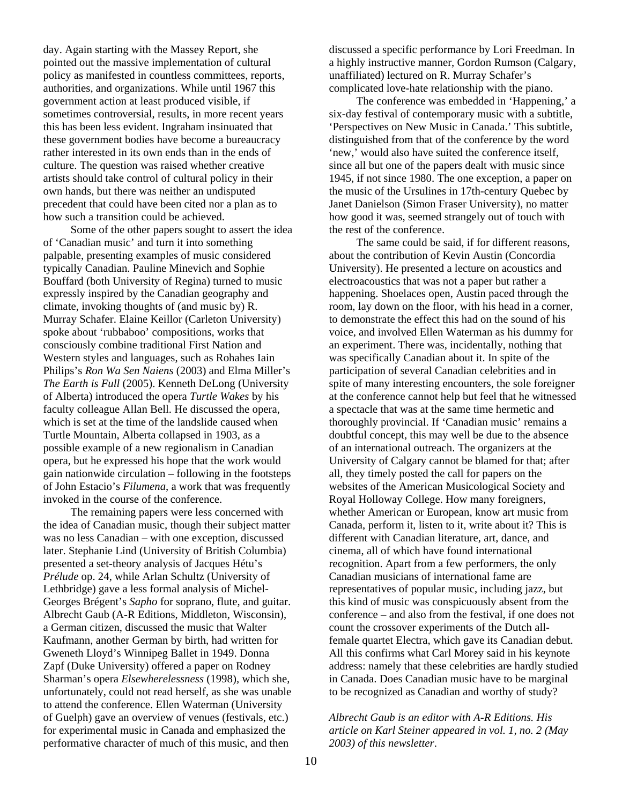day. Again starting with the Massey Report, she pointed out the massive implementation of cultural policy as manifested in countless committees, reports, authorities, and organizations. While until 1967 this government action at least produced visible, if sometimes controversial, results, in more recent years this has been less evident. Ingraham insinuated that these government bodies have become a bureaucracy rather interested in its own ends than in the ends of culture. The question was raised whether creative artists should take control of cultural policy in their own hands, but there was neither an undisputed precedent that could have been cited nor a plan as to how such a transition could be achieved.

 Some of the other papers sought to assert the idea of 'Canadian music' and turn it into something palpable, presenting examples of music considered typically Canadian. Pauline Minevich and Sophie Bouffard (both University of Regina) turned to music expressly inspired by the Canadian geography and climate, invoking thoughts of (and music by) R. Murray Schafer. Elaine Keillor (Carleton University) spoke about 'rubbaboo' compositions, works that consciously combine traditional First Nation and Western styles and languages, such as Rohahes Iain Philips's *Ron Wa Sen Naiens* (2003) and Elma Miller's *The Earth is Full* (2005). Kenneth DeLong (University of Alberta) introduced the opera *Turtle Wakes* by his faculty colleague Allan Bell. He discussed the opera, which is set at the time of the landslide caused when Turtle Mountain, Alberta collapsed in 1903, as a possible example of a new regionalism in Canadian opera, but he expressed his hope that the work would gain nationwide circulation – following in the footsteps of John Estacio's *Filumena*, a work that was frequently invoked in the course of the conference.

 The remaining papers were less concerned with the idea of Canadian music, though their subject matter was no less Canadian – with one exception, discussed later. Stephanie Lind (University of British Columbia) presented a set-theory analysis of Jacques Hétu's *Prélude* op. 24, while Arlan Schultz (University of Lethbridge) gave a less formal analysis of Michel-Georges Brégent's *Sapho* for soprano, flute, and guitar. Albrecht Gaub (A-R Editions, Middleton, Wisconsin), a German citizen, discussed the music that Walter Kaufmann, another German by birth, had written for Gweneth Lloyd's Winnipeg Ballet in 1949. Donna Zapf (Duke University) offered a paper on Rodney Sharman's opera *Elsewherelessness* (1998)*,* which she, unfortunately, could not read herself, as she was unable to attend the conference. Ellen Waterman (University of Guelph) gave an overview of venues (festivals, etc.) for experimental music in Canada and emphasized the performative character of much of this music, and then

discussed a specific performance by Lori Freedman. In a highly instructive manner, Gordon Rumson (Calgary, unaffiliated) lectured on R. Murray Schafer's complicated love-hate relationship with the piano.

 The conference was embedded in 'Happening,' a six-day festival of contemporary music with a subtitle, 'Perspectives on New Music in Canada.' This subtitle, distinguished from that of the conference by the word 'new,' would also have suited the conference itself, since all but one of the papers dealt with music since 1945, if not since 1980. The one exception, a paper on the music of the Ursulines in 17th-century Quebec by Janet Danielson (Simon Fraser University), no matter how good it was, seemed strangely out of touch with the rest of the conference.

 The same could be said, if for different reasons, about the contribution of Kevin Austin (Concordia University). He presented a lecture on acoustics and electroacoustics that was not a paper but rather a happening. Shoelaces open, Austin paced through the room, lay down on the floor, with his head in a corner, to demonstrate the effect this had on the sound of his voice, and involved Ellen Waterman as his dummy for an experiment. There was, incidentally, nothing that was specifically Canadian about it. In spite of the participation of several Canadian celebrities and in spite of many interesting encounters, the sole foreigner at the conference cannot help but feel that he witnessed a spectacle that was at the same time hermetic and thoroughly provincial. If 'Canadian music' remains a doubtful concept, this may well be due to the absence of an international outreach. The organizers at the University of Calgary cannot be blamed for that; after all, they timely posted the call for papers on the websites of the American Musicological Society and Royal Holloway College. How many foreigners, whether American or European, know art music from Canada, perform it, listen to it, write about it? This is different with Canadian literature, art, dance, and cinema, all of which have found international recognition. Apart from a few performers, the only Canadian musicians of international fame are representatives of popular music, including jazz, but this kind of music was conspicuously absent from the conference – and also from the festival, if one does not count the crossover experiments of the Dutch allfemale quartet Electra, which gave its Canadian debut. All this confirms what Carl Morey said in his keynote address: namely that these celebrities are hardly studied in Canada. Does Canadian music have to be marginal to be recognized as Canadian and worthy of study?

*Albrecht Gaub is an editor with A-R Editions. His article on Karl Steiner appeared in vol. 1, no. 2 (May 2003) of this newsletter*.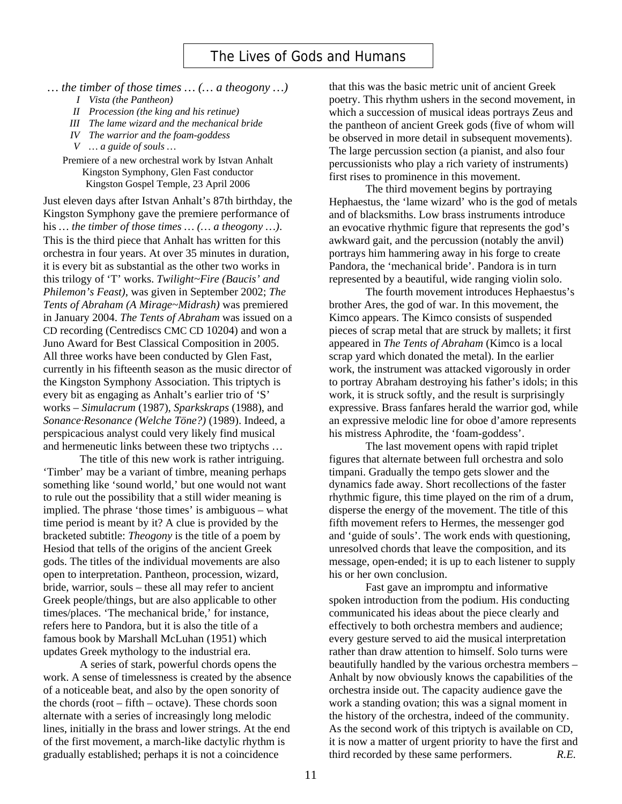- *… the timber of those times … (… a theogony …)* 
	- *I Vista (the Pantheon)*
	- *II Procession (the king and his retinue)*
	- *III The lame wizard and the mechanical bride*
	- *IV The warrior and the foam-goddess*
	- *V … a guide of souls …*

Premiere of a new orchestral work by Istvan Anhalt Kingston Symphony, Glen Fast conductor Kingston Gospel Temple, 23 April 2006

Just eleven days after Istvan Anhalt's 87th birthday, the Kingston Symphony gave the premiere performance of his *… the timber of those times … (… a theogony …)*. This is the third piece that Anhalt has written for this orchestra in four years. At over 35 minutes in duration, it is every bit as substantial as the other two works in this trilogy of 'T' works. *Twilight~Fire (Baucis' and Philemon's Feast)*, was given in September 2002; *The Tents of Abraham (A Mirage~Midrash)* was premiered in January 2004. *The Tents of Abraham* was issued on a CD recording (Centrediscs CMC CD 10204) and won a Juno Award for Best Classical Composition in 2005. All three works have been conducted by Glen Fast, currently in his fifteenth season as the music director of the Kingston Symphony Association. This triptych is every bit as engaging as Anhalt's earlier trio of 'S' works – *Simulacrum* (1987), *Sparkskraps* (1988), and *Sonance·Resonance (Welche Töne?)* (1989). Indeed, a perspicacious analyst could very likely find musical and hermeneutic links between these two triptychs …

 The title of this new work is rather intriguing. 'Timber' may be a variant of timbre, meaning perhaps something like 'sound world,' but one would not want to rule out the possibility that a still wider meaning is implied. The phrase 'those times' is ambiguous – what time period is meant by it? A clue is provided by the bracketed subtitle: *Theogony* is the title of a poem by Hesiod that tells of the origins of the ancient Greek gods. The titles of the individual movements are also open to interpretation. Pantheon, procession, wizard, bride, warrior, souls – these all may refer to ancient Greek people/things, but are also applicable to other times/places. 'The mechanical bride,' for instance, refers here to Pandora, but it is also the title of a famous book by Marshall McLuhan (1951) which updates Greek mythology to the industrial era.

A series of stark, powerful chords opens the work. A sense of timelessness is created by the absence of a noticeable beat, and also by the open sonority of the chords (root – fifth – octave). These chords soon alternate with a series of increasingly long melodic lines, initially in the brass and lower strings. At the end of the first movement, a march-like dactylic rhythm is gradually established; perhaps it is not a coincidence

that this was the basic metric unit of ancient Greek poetry. This rhythm ushers in the second movement, in which a succession of musical ideas portrays Zeus and the pantheon of ancient Greek gods (five of whom will be observed in more detail in subsequent movements). The large percussion section (a pianist, and also four percussionists who play a rich variety of instruments) first rises to prominence in this movement.

The third movement begins by portraying Hephaestus, the 'lame wizard' who is the god of metals and of blacksmiths. Low brass instruments introduce an evocative rhythmic figure that represents the god's awkward gait, and the percussion (notably the anvil) portrays him hammering away in his forge to create Pandora, the 'mechanical bride'. Pandora is in turn represented by a beautiful, wide ranging violin solo.

The fourth movement introduces Hephaestus's brother Ares, the god of war. In this movement, the Kimco appears. The Kimco consists of suspended pieces of scrap metal that are struck by mallets; it first appeared in *The Tents of Abraham* (Kimco is a local scrap yard which donated the metal). In the earlier work, the instrument was attacked vigorously in order to portray Abraham destroying his father's idols; in this work, it is struck softly, and the result is surprisingly expressive. Brass fanfares herald the warrior god, while an expressive melodic line for oboe d'amore represents his mistress Aphrodite, the 'foam-goddess'.

The last movement opens with rapid triplet figures that alternate between full orchestra and solo timpani. Gradually the tempo gets slower and the dynamics fade away. Short recollections of the faster rhythmic figure, this time played on the rim of a drum, disperse the energy of the movement. The title of this fifth movement refers to Hermes, the messenger god and 'guide of souls'. The work ends with questioning, unresolved chords that leave the composition, and its message, open-ended; it is up to each listener to supply his or her own conclusion.

Fast gave an impromptu and informative spoken introduction from the podium. His conducting communicated his ideas about the piece clearly and effectively to both orchestra members and audience; every gesture served to aid the musical interpretation rather than draw attention to himself. Solo turns were beautifully handled by the various orchestra members – Anhalt by now obviously knows the capabilities of the orchestra inside out. The capacity audience gave the work a standing ovation; this was a signal moment in the history of the orchestra, indeed of the community. As the second work of this triptych is available on CD, it is now a matter of urgent priority to have the first and third recorded by these same performers. *R.E.*